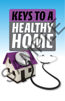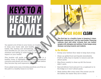# **KEYSTO A** HUA

You spend a lot of time in your home, so it makes sense to keep your home safe and healthy. A few simple habits, like dusting and decluttering, can have longterm benefits for you and your family. Just opening the windows and letting in some fresh air can have a big impact on your health!

This booklet will quide you through the keys to a healthy home. It highlights some common household concerns and shows you how to deal with them before they become big (and expensive) problems.

If you adopt some easy, everyday practices, you'll be on the path to a healthy home in no time!

# **YOUR HOME CLEAN**

The first key to a healthy home is keeping it clean. Regular cleaning isn't just for neat freaks. Cleaning reduces dust and other irritants that can bother people with allergies and asthma. It also keeps away disease-carrying insects and rodents.

### **In the Kitchen**

- Sweep your kitchen floor daily to keep dust at bay.  $\bullet$
- Clean up spilled food and liquids immediately.  $\bullet$  . If left to settle, they're harder to remove and will attract pests.
- Mop floors weekly to clean up dirt the broom didn't catch.
- Seal all leftover food and put it in a cupboard or in  $\bullet$  . the fridge so it won't attract pests.
- Wash dishes after every meal. The sooner you do the dishes, the easier they are to clean.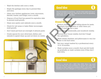- Wash the kitchen sink once a week.  $\bullet$
- Empty the garbage every day to prevent flies  $\bullet$ and mice.
- Clean vour kitchen appliances (oven microwave.  $\bullet$ blender, toaster, and fridge) once a month.
- Dispose of food that has passed its expiration date  $\bullet$ to prevent mold growth.
- Clean your pantry and cabinets once a month.  $\bullet$
- Check for wet areas or leaks. Water encourages  $\bullet$ mold growth.
- Don't leave pet food out overnight. It attracts pests.  $\bullet$
- Create spaces for your silverware, dishes, and  $\bullet$ utensils to speed clean-up and cut down on clutter.



### **Good Idea**

Use two buckets to mop floors—one for clean water and one to wring your dirty water into. That way you won't be spreading dirty water around your floor.

### **Around the Hause**

- Reduce clutter. It creates hiding places for pests. Regularly donate clothes or other items you haven't used in over a year.
- Dust shelves, windowsills, and woodwork weekly.
	- Vacuum your house weekly. And don't forget the upholstery.
- Wash sheets, blankets, and pillowcases in very hot water to kill dust mites
- Get your carpet washed by a professional every  $12$  to  $18$  months.
- Wash curtains once a month. Dust and dirt build up gradually, so wash curtains even if they don't look dirty.

## **Good Idea**

Invest in a vacuum with a HEPA filter. HEPA filters trap small particles that may cause problems for people who suffer from allergies or other respiratory problems. Wear a dust mask while cleaning if you have allergies or if you're sensitive to dust.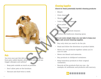

### **Pets**

You love your pet. But did you know dead skin cells from pets, called dander, attract dust mites and can trigger allergies and asthma?

- Keep pets outside as much as possible.
- Don't allow pets on the furniture.
- Vacuum and dust twice a week.

### **Cleaning Supplies**

Check for these potentially harmful cleaning products:

- $\cdot$  Bleach
- Oven cleaner
- Wood polish
- Toilet and drain cleaners.
- Shoe polish
- Glass cleaners.
- Powdered household cleaners
	- Kitchen and bathroom cleaning spray

### Here are some simple steps you can take to keep your family safe around cleaning supplies.

- Buy only what you need to do the job.
- Read and follow the directions on product labels.
- Never mix two products together unless you're sure it's safe.
- Never mix bleach and ammonia.
- Buy products in childproof containers.
- Keep hazardous products in their original containers.
- Recycle all the products that you can—for example, oil, antifreeze, and products with mercury.

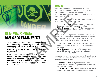

# **KEEP YOUR HOME FREE OF CONTAMINANTS**

The second key to a healthy home is keeping it free of contaminants. Contaminants are potentially harmful substances such as lead, asbestos, and carbon monoxide that can enter your home through the water supply, through the air, or even be contained in your walls.

Contact with contaminants can lead to serious health problems, including kidney and liver problems, respiratory illnesses, and even cancer. But knowing the risks and taking steps to protect your family from harmful contaminants can keep vour home safe.

### **In the Air**

Airborne contaminants are difficult to detect because they often have no color or odor. Exposure to common contaminants such as radon, carbon monoxide, and aspestos can lead to lung cancer and respiratory illness.

Radon occurs naturally in the earth and can drift into your home through the basement.

How do you detect it? Buy a radon detection kit from your local hardware store or online. What do you do if you have it? Have a contractor install basement vents to remove radon from vour house.

**Carbon monoxide** is produced when fuel is burned in a furnace or other heating system. It should be vented to the outside, but if ducts are damaged or blocked. carbon monoxide can build up in your home.

How do you detect it? Purchase carbon monoxide detectors, and place them within 15 feet of every sleeping area.

What do you do if you have it? If your carbon monoxide detector goes off, leave the house immediately and call 911.

Asbestos was used as a building material—particularly in insulation—until the 1970s. It can cause lung cancer and respiratory illnesses.

How do you detect it? If your home was built before the 1970s, there's a good chance it contains asbestos insulation.

What do you do if you have it? Leave asbestos areas undisturbed and call an asbestos removal expert.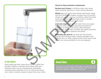

Check for these potential contaminants:

Bacteria and viruses in drinking water may cause upset stomach, diarrhea, or more serious illnesses.

Nitrate gets into water from animal and human waste and from fertilizer. In babies younger than six months, nitrate can cause a serious condition called blue baby syndrome. If your baby develops a blue or purplecolored face, see a doctor right away.

Lead and copper can get into water from your pipes. Too much lead can cause learning and behavior problems in children, as well as other illnesses. Copper can cause colic in babies and upset stomachs or diarrhea in older children and adults.

Pesticides, gas, and oil can seep into the ground and get into drinking water, causing damage to the kidneys, liver, or other organs. Some cause cancer and others can cause problems if you are pregnant.

### In the Water

Most people get their water from a public utility that purifies it before it reaches their homes. Still, your drinking water can be contaminated, potentially causing serious illnesses. If you're concerned about your water's content, request a report from your utility.

## **Good Idea**



If you have a private water supply, such as a well, don't use pesticides and don't dispose of chemical waste nearby. Get your water tested by a professional every year.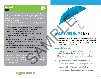### **Focus On: Lead**



Lead is an element that was often used in paint and pipes before 1978. Lead exposure can cause hearing loss, learning disabilities, and violent behavior in children. For adults, lead can cause concentration problems, high blood pressure, and reproductive problems.

If your home was built before 1978, it may contain lead paint and/or piping. Here are some simple steps you can take to keep vour family safe from lead exposure:

- Gently wipe door frames, banisters, stairs, railings, porches, fences, windowsills, and walls with a damp paper towel. Throw out the towel when you're done.
- If you're renovating your home, make sure the contractor is certified in lead-safe practices.
- Run the cold water for three minutes straight to flush out potential built-up lead. The best times to do this are in the morning or whenever you haven't used the water for several hours
- Try to minimize the disintegration of paint chips; the more they crumble, the more lead they spread around.
- Do not scrape, sand, or burn any substance you believe may contain lead-it will only disperse the lead further.

If you suspect your child may have had contact with lead, ask your doctor to test him or her for the substance.

Many hardware stores sell affordable lead test kits that you can use to check your water and paint for lead. These home test kits are useful, but it's always safest to hire a professional to test for lead in your home.

# **KEEP YOUR HOME DRY**

The third key to a healthy home is keeping it dry. Too much water in the home causes mold, structural damage, and provides optimal conditions for some pests, especially termites.

### **Around the House**

- Clean the bathroom regularly by scrubbing the toilet, tub, sink, and other fixtures.
- Make sure sinks and tubs are draining and that water is not pooling anywhere.
- Dry clothes thoroughly before folding them.  $\bullet$  .
- Run an exhaust fan while showering and cooking.
- Clean up spills and puddles immediately.  $\bullet$
- Get rid of objects that have been ruined by water.

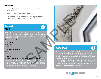### Prevention

- Unblock gutters so water is diverted away from vour house.
- Seal cracks in your home with caulk.  $\bullet$
- Fix leaky pipes immediately. Dripping water can  $\bullet$ cause serious damage over time.

### **Focus On: Mold**

Mold is the common word for a fungus on wood, food, or paper. Mold has the potential to irritate your lungs. If you have a sore throat, skin rash, difficulty breathing, or a bloody nose, you may be affected by mold.

#### Look for mold in these places:

- Wet clothes
- Basements
- Attics
- Concrete foundations
- $\cdot$  Tubs
- · Sinks
- Toilets
- Drywall, insulation, or anywhere damaged by flooding

Water comes into your house through cracks in door and window frames, or through leaks in walls, roofs, showerheads, clothes washers, and faucets. Even the respiration of your houseplants can increase humidity in your home.



### **Good Idea**



An inexpensive hygrometer, available at home improvement stores, will tell you whether the humidity in your house is at an appropriate level (30 to 55 percent). Humidity varies with the seasons, but high humidity can also be a result of roof leaks or an unvented bathroom

If you see mold growing on drywall, studs, or subflooringespecially if the area exceeds 10 square feet-you should call a professional. Find a mold removal specialist in the yellow pages under "Fire and Water Damage Restoration."

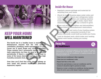

# **KEEP YOUR HOME WELL MAINTAINED**

The fourth key to a healthy home is maintenance. Maintenance ensures that the vital systems (ventilation, plumbing, waste management) in your house are in good shape and running smoothly. These systems don't necessarily require constant. daily supervision, but they do need to be checked periodically. If there's a problem, it could lead to some of the issues described earlier, such as high humidity, excessive dust, and contamination.

Over time you'll find that some simple upkeep on your home will prevent major (and potentially expensive) repairs.

## **Inside the House**

- Regularly remove garbage and materials for  $\bullet$  . recycling from your home.
- Check for leaks. Examine pipes under sinks and in the basement. Check your refrigerator, boiler, water meter, dishwasher, and washing machine hoses as well. If you see any leaks, repair them immediately, before mold has a chance to grow.
- Clean and empty humidifiers and dehumidifiers. Always follow the manufacturer's instructions.
- Check the flues and vents of your heating system to ensure they're connected correctly. If not, carbon monoxide could build up inside your home.
- Look for blocked vents, which make your heating system work harder, costing you monev.

### **Focus On: Air Conditioners**

Even if your air conditioner appears to be running well, regular maintenance is important. It prevents the spread of dirt and dust, and ensures the air conditioner is trapping moisture and keeping humidity low.

- Clean your air conditioner's filter regularly.
- · Clean your air conditioner's coils.
- Repair bent fins on the coils.
- Check the seal between a room air conditioner and the window. It should be tight to prevent air leaks.
- Remove or cover a window air conditioner during seasons when it's not in use so dirt doesn't build up inside it.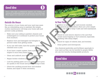## **Good Idea**

Once a year, have a professional examine your heating and central air-conditioning system, as well as your oven and range. Minor repairs now could save you lots of money down the road.

### **Outside the House**

The exterior of your home and your yard may seem like an intimidating area to maintain. But simple, routine maintenance will keep your home safe and prevent costly problems. Solution of the state of the state of the priorite and the state of the state of the state of the state of the state of the state of the state of the state of the state of the state of the state of the state of the state o

- Make sure your siding is painted, cleaned, and undamaged so it continues to protect your house from moisture.
- Replace worn and damaged roof shingles to prevent water from getting inside.
- If you use well water, have the quality of the water checked once a year.
- If you have a septic system, have a professional inspect it once every three years.
- Clean and unblock your dryer vent twice a year.
- · Repair broken windows as soon as possible.
- Look for peeling paint, as it can contribute to poor air quality in the house and possibly bring in lead.
- Check the caulking around door and window frames, and repair it when necessary.



### **In Your Yard**

In addition to keeping your yard mowed, weeded, and in general good condition, there are a few simple steps you can take to keep it safe and well maintained.

### Twice a year:

- Check for and remove objects in the vard that would cause tripping or hurt someone, especially anything with sharp edges.
- Check for signs of rodents, bats, and termites.
- Clean gutters and downspouts.

Use chemical pesticides and fertilizers sparingly in your yard, as they can be harmful to people. Better yet, use low-toxicity, biodegradable products.

Making roof repairs may seem like a big job, but letting minor damage spread can lead to even more expensive structural damage and serious mold problems.

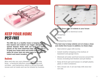

# **KEEP YOUR HOME**

### **Rodents**

Mice and rats can carry diseases, such as rat bite fever-a bacterial infection caused by mouse and rat bites—and hantavirus, which is carried through mouse and rat waste and can be inhaled by humans.



### Look for these signs of rodents in your house:

- Gnawed wood or electrical cords
	- Droppings
	- Nests
- Scampering noises

### The best way to keep rodents out is to keep a clean and clutter-free house. In addition, try these steps:

- Seal exterior gaps with mortar.
- Install weather-stripping at the bottom of basement and garage doors.
- Eliminate all water and food sources around the house, including bird feeders and pet dishes.
- Keep all food (pet and human) in airtight plastic, glass, or steel containers.
- Get a house cat. A cat can help with mice but not rats.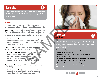## **Good Idea**



Rodent traps can help eliminate an infestation in your home. Set traps at night and check them regularly Otherwise animals could learn to avoid the traps when they see other animals caught in them.

### **Insects**

The most common insects you'll encounter in your home are dust mites, cockroaches, and fleas and ticks.

Dust mites are too small to see without a microscope. They eat skin cells shed by people, and they thrive in warm, humid environments. Many people suffer from dust mite allergies, which are similar to hay fever.

What can you do? In most homes, bedding, upholstered furniture, and carpeting provide an ideal environment for dust mites. Clean and dust these areas regularly.

Cockroaches are unseemly and their droppings can be harmful to people with asthma.

What can you do? Eliminate their food source, and cockroaches will go away. Clean up food spills immediately and put away all food. When using bait traps, put them in corners and against walls, where cockroaches are likely to travel

Fleas and ticks are carried into the house by pets and on clothing.

What can you do? Control fleas by washing bedding often, shampooing pets, vacuuming floors, and using flea combs and traps.



### **Focus On:** Pesticides



Chemical pesticides can help control insect and rodent problems when used properly, but they can also be harmful to people. Children are especially at risk because they may not know the dangers of bug sprays, flea collars, rat poison, and other pesticides.

Here are some tips to stay safe around pesticides:

- Always read the instructions.
- Be extra careful when using airborne pesticides such as sprays and flea bombs.
- Keep pesticides stored out of reach of children, and don't put traps or poisons where kids might find them.
- Always wash your hands after handling hazardous products.

If you cannot handle an infestation on your own, call an exterminator

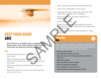## **KEEP YOUR HOME SAFE**

The sixth key to a healthy home is keeping it safe. Being aware of the most common dangers around your home can keep you and your family safe.

### Fire

- Install smoke detectors on every floor of  $\bullet$ vour home.
- Plan two escape routes from your home in the  $\bullet$ event of a fire. Make sure all family members know the routes.
- Make sure all family members know emergency  $\bullet$ mumbers
- Set a timer when you cook so you don't forget the stove or oven is on.
- Keep curtains far away from stovetop burners.  $\bullet$  .
- Keep a fire extinguisher in the house.
- Keep space heaters away from walls, and don't leave them on when you're sleeping.
- Have your furnace checked regularly by a  $\bullet$  . professional.
- Don't smoke in bed.
- Make sure heat-producing appliances such as curling irons and blow dryers are cool before you put them away.
- Check electrical cords. They shouldn't be warm while in use.

### **Focus On: Falls**



Slips and falls are potentially dangerous to everyone, but preventing falls is especially important for older adults because even a slight fall can cause broken bones or more serious injury. Here are some ways to make your house "fall-free":

- Keep your home well lit.
- Use nonskid mats under your rugs.
- Take care when you're carrying something that blocks your view.
- Repair broken steps.
- Make sure steps are even in height.
- · Secure all railings and banisters.
- Put a nonslip floor or mat in the tub.
- . Install a grab bar in the tub and near the toilet.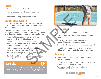### **Firearms**

- Keep firearms in a locked cabinet.  $\bullet$
- Keep ammunition and firearms in separate  $\bullet$ locations.
- Keep trigger safety locks on at all times.  $\bullet$

### **Choking and Suffocation**

The home can be an especially perilous environment for young children because they aren't fully aware of potential dangers.

Children are at much greater risk than adults for choking and suffocation. Watch children carefully, and keep them from putting objects in their mouths. Also:

- Avoid clothing or decorations with ribbons or  $\bullet$ strings, which are choking hazards.
- Don't leave babies older than five months alone  $\bullet$ with dangling crib toys; they can push themselves. up and get tangled in them.
- Pick up coins and marbles off the floor and  $\bullet$ anywhere children can reach them.
- Keep balloons and plastic bags away from infants.  $\bullet$
- Don't give children popcorn or hard candy; it can  $\bullet$ easily get stuck in their throats.

## **Good Idea**





### **Swimming Pools**

- Don't leave children alone around a pool.
- If a child goes missing in your home, check the pool first.
- Build a fence around your pool, and make sure young children can't reach the latch.
- Don't allow food or chewing gum around the pool.
- Consider buying an alarm that sounds when  $\bullet$ children (or others) are in the pool or pool area.

### **Poisoning**

- Keep pesticides and household cleaners out of the  $\bullet$  . reach of children.
- Dispose of all unused household chemicals rather than storing them in your home.
- Wash your hands after using pesticides or household chemicals.

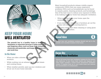

# **KEEP YOUR HOME WELL VENTILATED**

The seventh key to a healthy home is ventilation. Ventilation is important because it helps expel dust and lingering odors, such as those from household chemicals and pesticides, and keeps your home dry and mold-free

### In the Home

- When you take a shower, run the fan to remove moisture.
- While cooking, run an exhaust fan to dispel steam  $\bullet$ and cooking fumes.
- When weather permits, open up your windows and  $\bullet$ let air out of your home naturally.

Many household products release volatile organic compounds (VOCs) that can cause respiratory problems. VOCs such as formaldehyde can be found in carpets, paints, cleaning products, and furnishings. One of the best ways to reduce your exposure to VOCs is by making sure your home has adequate ventilation.

- When painting inside your home, open the windows for fresh air.
- If you install new carpeting or furniture, air out the  $\bullet$ rooms with fans before moving back in.
- Use extra ventilation when cleaning or using glues or permanent markers.

### **Good Idea**



Exhaust fans and ventilation systems should vent air to the outside, not to another location in the house.

### **Focus On: Whole House Ventilation**

Almost all homes have spot ventilation systems for the kitchen and bathroom. If your home feels humid and stagnant and odors linger, consider a whole house mechanical ventilation system. It supplies fresh air to your entire home and reduces the concentration of contaminants.

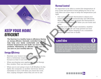# **KEEP YOUR HOME EFFICIENT**

The final key to a healthy home is efficiency. Having an energy-efficient, thermally controlled home can help keep your family comfortable and healthy. Extreme temperatures and drafts can lead to health problems. Maintaining an efficient home will help you save on your monthly bills too.

### **Energy Efficiency**

- Maintain your home's heating and cooling systems.  $\bullet$ Have a technician inspect and tune up your furnace so that it runs well.
- When purchasing new appliances, opt for Energy  $\bullet$ Star models. They use less energy.
- When you're not using it, turn it off. Whether it's the  $\bullet$ lights, the computer, or another electronic device, remember to turn it off when you leave the room. Also, unplug chargers when they are not in use.

### **Thermal Control**

It's important to be able to control the temperature of your home and prevent it from getting too hot or too cold. Here are some ways to keep the temperature just right.

- Use a programmable thermostat to adjust your  $\bullet$  . home's temperature automatically and efficiently. Make a schedule, then program the thermostat to set different temperatures when you are home and away.
- Insulate your home. Proper insulation, weatherstripping, and caulk can help prevent air from escaping your home, keeping it at a consistent temperature and free of drafts.

### Good Idea

Schedule a home energy audit or energy assessment. This will tell you how much energy your home consumes and will help you identify ways to make it more energy efficient. The auditor will walk you through the steps to retrofit your home for both efficiency and comfort.